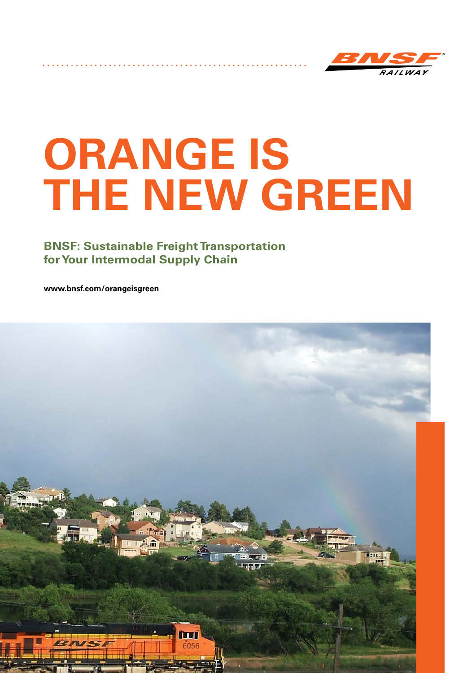

# **ORANGE IS THE NEW GREEN**

## **BNSF: Sustainable Freight Transportation for Your Intermodal Supply Chain**

**www.bnsf.com/orangeisgreen**

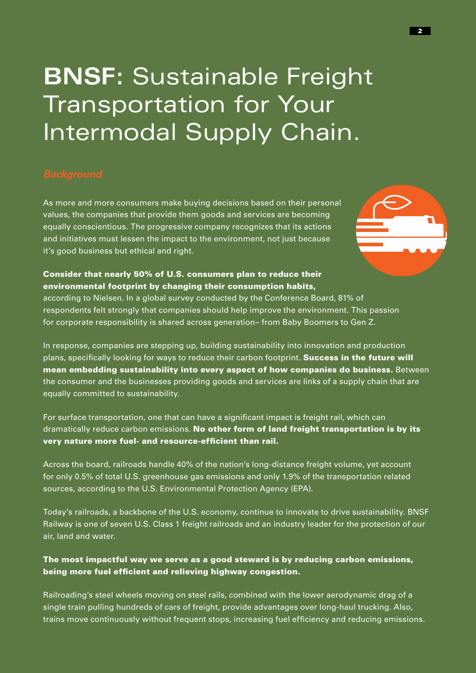## **BNSF:** Sustainable Freight Transportation for Your Intermodal Supply Chain.

As more and more consumers make buying decisions based on their personal values, the companies that provide them goods and services are becoming equally conscientious. The progressive company recognizes that its actions and initiatives must lessen the impact to the environment, not just because it's good business but ethical and right.



### Consider that nearly 50% of U.S. consumers plan to reduce their environmental footprint by changing their consumption habits,

according to Nielsen. In a global survey conducted by the Conference Board, 81% of respondents felt strongly that companies should help improve the environment. This passion for corporate responsibility is shared across generation– from Baby Boomers to Gen Z.

In response, companies are stepping up, building sustainability into innovation and production plans, specifically looking for ways to reduce their carbon footprint. Success in the future will mean embedding sustainability into every aspect of how companies do business. Between the consumer and the businesses providing goods and services are links of a supply chain that are equally committed to sustainability.

For surface transportation, one that can have a significant impact is freight rail, which can dramatically reduce carbon emissions. No other form of land freight transportation is by its very nature more fuel- and resource-efficient than rail.

Across the board, railroads handle 40% of the nation's long-distance freight volume, yet account for only 0.5% of total U.S. greenhouse gas emissions and only 1.9% of the transportation related sources, according to the U.S. Environmental Protection Agency (EPA).

Today's railroads, a backbone of the U.S. economy, continue to innovate to drive sustainability. BNSF Railway is one of seven U.S. Class 1 freight railroads and an industry leader for the protection of our air, land and water.

### The most impactful way we serve as a good steward is by reducing carbon emissions, being more fuel efficient and relieving highway congestion.

Railroading's steel wheels moving on steel rails, combined with the lower aerodynamic drag of a single train pulling hundreds of cars of freight, provide advantages over long-haul trucking. Also, trains move continuously without frequent stops, increasing fuel efficiency and reducing emissions.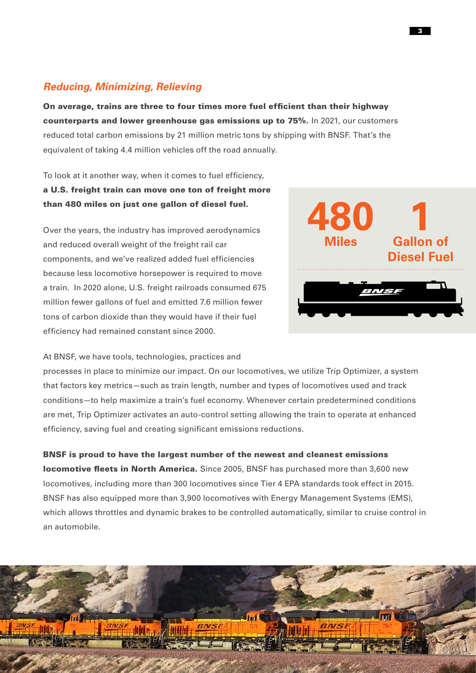### *Reducing, Minimizing, Relieving*

On average, trains are three to four times more fuel efficient than their highway counterparts and lower greenhouse gas emissions up to 75%. In 2021, our customers reduced total carbon emissions by 21 million metric tons by shipping with BNSF. That's the equivalent of taking 4.4 million vehicles off the road annually.

To look at it another way, when it comes to fuel efficiency, a U.S. freight train can move one ton of freight more than 480 miles on just one gallon of diesel fuel.

Over the years, the industry has improved aerodynamics and reduced overall weight of the freight rail car components, and we've realized added fuel efficiencies because less locomotive horsepower is required to move a train. In 2020 alone, U.S. freight railroads consumed 675 million fewer gallons of fuel and emitted 7.6 million fewer tons of carbon dioxide than they would have if their fuel efficiency had remained constant since 2000.



At BNSF, we have tools, technologies, practices and

processes in place to minimize our impact. On our locomotives, we utilize Trip Optimizer, a system that factors key metrics—such as train length, number and types of locomotives used and track conditions—to help maximize a train's fuel economy. Whenever certain predetermined conditions are met, Trip Optimizer activates an auto-control setting allowing the train to operate at enhanced efficiency, saving fuel and creating significant emissions reductions.

BNSF is proud to have the largest number of the newest and cleanest emissions locomotive fleets in North America. Since 2005, BNSF has purchased more than 3,600 new locomotives, including more than 300 locomotives since Tier 4 EPA standards took effect in 2015. BNSF has also equipped more than 3,900 locomotives with Energy Management Systems (EMS), which allows throttles and dynamic brakes to be controlled automatically, similar to cruise control in an automobile.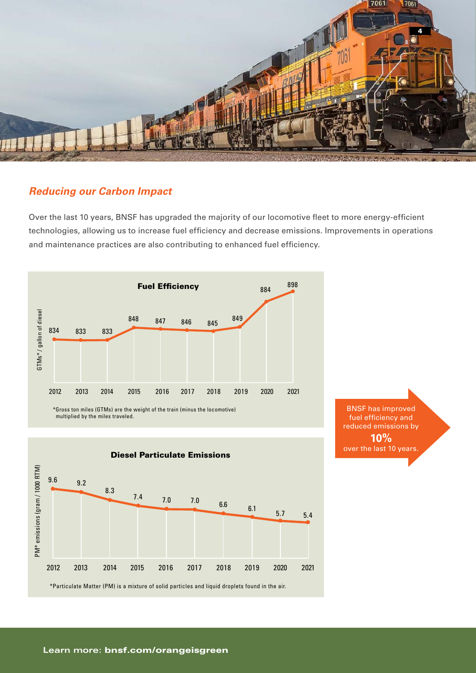

### *Reducing our Carbon Impact*

Over the last 10 years, BNSF has upgraded the majority of our locomotive fleet to more energy-efficient technologies, allowing us to increase fuel efficiency and decrease emissions. Improvements in operations and maintenance practices are also contributing to enhanced fuel efficiency.



BNSF has improved fuel efficiency and reduced emissions by **10%** over the last 10 years.

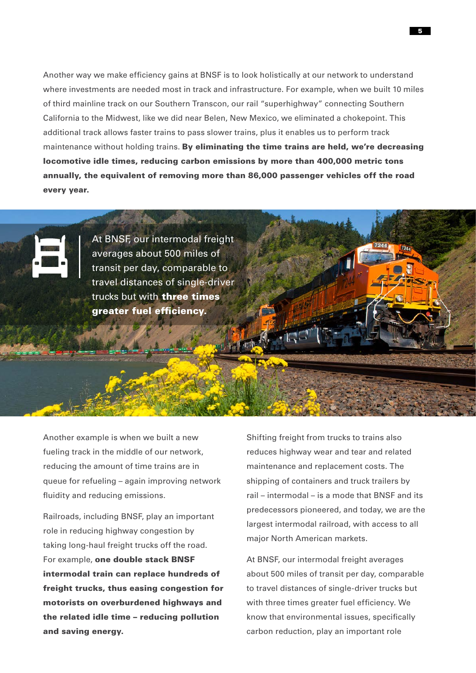Another way we make efficiency gains at BNSF is to look holistically at our network to understand where investments are needed most in track and infrastructure. For example, when we built 10 miles of third mainline track on our Southern Transcon, our rail "superhighway" connecting Southern California to the Midwest, like we did near Belen, New Mexico, we eliminated a chokepoint. This additional track allows faster trains to pass slower trains, plus it enables us to perform track maintenance without holding trains. By eliminating the time trains are held, we're decreasing locomotive idle times, reducing carbon emissions by more than 400,000 metric tons annually, the equivalent of removing more than 86,000 passenger vehicles off the road every year.



At BNSF, our intermodal freight averages about 500 miles of transit per day, comparable to travel distances of single-driver trucks but with **three times** greater fuel efficiency.

Another example is when we built a new fueling track in the middle of our network, reducing the amount of time trains are in queue for refueling – again improving network fluidity and reducing emissions.

Railroads, including BNSF, play an important role in reducing highway congestion by taking long-haul freight trucks off the road. For example, one double stack BNSF intermodal train can replace hundreds of freight trucks, thus easing congestion for motorists on overburdened highways and the related idle time – reducing pollution and saving energy.

Shifting freight from trucks to trains also reduces highway wear and tear and related maintenance and replacement costs. The shipping of containers and truck trailers by rail – intermodal – is a mode that BNSF and its predecessors pioneered, and today, we are the largest intermodal railroad, with access to all major North American markets.

At BNSF, our intermodal freight averages about 500 miles of transit per day, comparable to travel distances of single-driver trucks but with three times greater fuel efficiency. We know that environmental issues, specifically carbon reduction, play an important role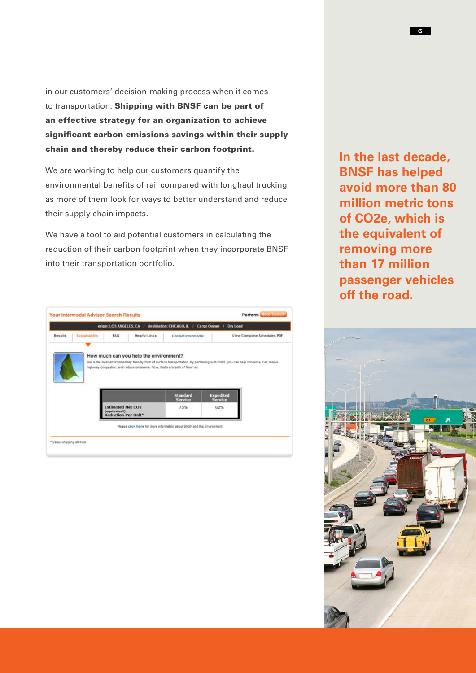in our customers' decision-making process when it comes to transportation. Shipping with BNSF can be part of an effective strategy for an organization to achieve significant carbon emissions savings within their supply chain and thereby reduce their carbon footprint.

We are working to help our customers quantify the environmental benefits of rail compared with longhaul trucking as more of them look for ways to better understand and reduce their supply chain impacts.

We have a tool to aid potential customers in calculating the reduction of their carbon footprint when they incorporate BNSF into their transportation portfolio.

|         |                | origin: LOS ANGELES, CA / destination: CHICAGO, IL | u                                                                                                                                      | Cargo Owner<br>Dry Load            |                             |
|---------|----------------|----------------------------------------------------|----------------------------------------------------------------------------------------------------------------------------------------|------------------------------------|-----------------------------|
| Results | Sustainability | <b>Helpful Links</b><br><b>FAQ</b>                 | Contact Intermodal                                                                                                                     |                                    | View Complete Schedules PDF |
|         |                |                                                    |                                                                                                                                        |                                    |                             |
|         |                | How much can you help the environment?             |                                                                                                                                        |                                    |                             |
|         |                |                                                    | Rail is the most environmentally friendly form of surface transportation. By partnering with BNSF, you can help conserve fuel, relieve |                                    |                             |
|         |                |                                                    |                                                                                                                                        |                                    |                             |
|         |                |                                                    | highway congestion, and reduce emissions. Now, that's a breath of fresh air.                                                           |                                    |                             |
|         |                |                                                    |                                                                                                                                        |                                    |                             |
|         |                |                                                    |                                                                                                                                        |                                    |                             |
|         |                |                                                    |                                                                                                                                        |                                    |                             |
|         |                |                                                    |                                                                                                                                        |                                    |                             |
|         |                |                                                    | <b>Standard</b><br><b>Service</b>                                                                                                      | <b>Expedited</b><br><b>Service</b> |                             |
|         |                | <b>Estimated Net CO2</b>                           | 75%                                                                                                                                    | 62%                                |                             |
|         |                | (equivalent)                                       |                                                                                                                                        |                                    |                             |
|         |                | <b>Reduction Per Unit*</b>                         |                                                                                                                                        |                                    |                             |
|         |                |                                                    | Please click here for niore information about BNSF and the Environment.                                                                |                                    |                             |

**In the last decade, BNSF has helped avoid more than 80 million metric tons of CO2e, which is the equivalent of removing more than 17 million passenger vehicles off the road.**

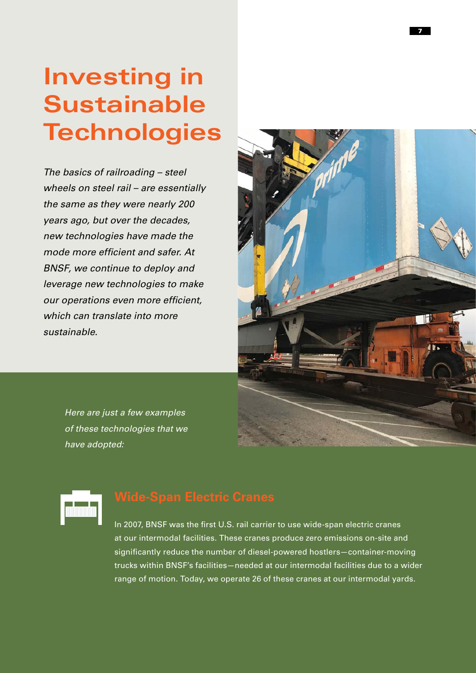## **Investing in Sustainable Technologies**

*The basics of railroading – steel wheels on steel rail – are essentially the same as they were nearly 200 years ago, but over the decades, new technologies have made the mode more efficient and safer. At BNSF, we continue to deploy and leverage new technologies to make our operations even more efficient, which can translate into more sustainable.*



*Here are just a few examples of these technologies that we have adopted:* 

In 2007, BNSF was the first U.S. rail carrier to use wide-span electric cranes at our intermodal facilities. These cranes produce zero emissions on-site and significantly reduce the number of diesel-powered hostlers—container-moving trucks within BNSF's facilities—needed at our intermodal facilities due to a wider range of motion. Today, we operate 26 of these cranes at our intermodal yards.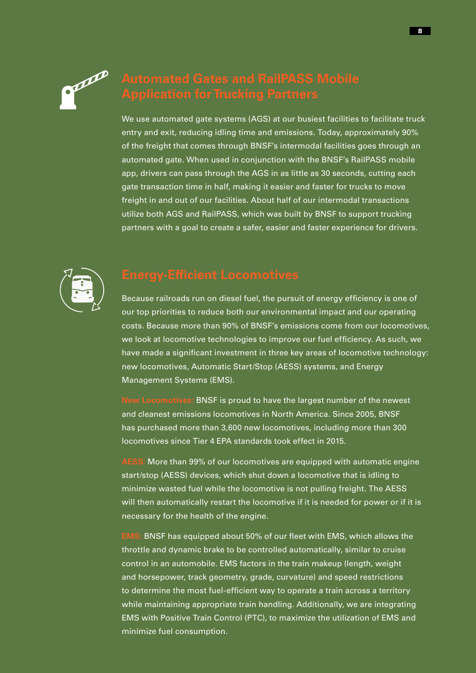

We use automated gate systems (AGS) at our busiest facilities to facilitate truck entry and exit, reducing idling time and emissions. Today, approximately 90% of the freight that comes through BNSF's intermodal facilities goes through an automated gate. When used in conjunction with the BNSF's RailPASS mobile app, drivers can pass through the AGS in as little as 30 seconds, cutting each gate transaction time in half, making it easier and faster for trucks to move freight in and out of our facilities. About half of our intermodal transactions utilize both AGS and RailPASS, which was built by BNSF to support trucking partners with a goal to create a safer, easier and faster experience for drivers.



Because railroads run on diesel fuel, the pursuit of energy efficiency is one of our top priorities to reduce both our environmental impact and our operating costs. Because more than 90% of BNSF's emissions come from our locomotives, we look at locomotive technologies to improve our fuel efficiency. As such, we have made a significant investment in three key areas of locomotive technology: new locomotives, Automatic Start/Stop (AESS) systems, and Energy Management Systems (EMS).

**New Locomotives:** BNSF is proud to have the largest number of the newest and cleanest emissions locomotives in North America. Since 2005, BNSF has purchased more than 3,600 new locomotives, including more than 300 locomotives since Tier 4 EPA standards took effect in 2015.

**AESS:** More than 99% of our locomotives are equipped with automatic engine start/stop (AESS) devices, which shut down a locomotive that is idling to minimize wasted fuel while the locomotive is not pulling freight. The AESS will then automatically restart the locomotive if it is needed for power or if it is necessary for the health of the engine.

**EMS:** BNSF has equipped about 50% of our fleet with EMS, which allows the throttle and dynamic brake to be controlled automatically, similar to cruise control in an automobile. EMS factors in the train makeup (length, weight and horsepower, track geometry, grade, curvature) and speed restrictions to determine the most fuel-efficient way to operate a train across a territory while maintaining appropriate train handling. Additionally, we are integrating EMS with Positive Train Control (PTC), to maximize the utilization of EMS and minimize fuel consumption.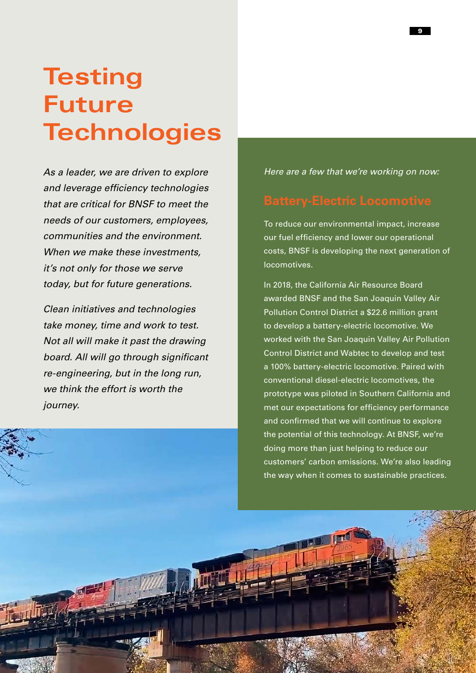## **Testing Future Technologies**

*As a leader, we are driven to explore and leverage efficiency technologies that are critical for BNSF to meet the needs of our customers, employees, communities and the environment. When we make these investments, it's not only for those we serve today, but for future generations.*

*Clean initiatives and technologies take money, time and work to test. Not all will make it past the drawing board. All will go through significant re-engineering, but in the long run, we think the effort is worth the journey.* 

*Here are a few that we're working on now:*

To reduce our environmental impact, increase our fuel efficiency and lower our operational costs, BNSF is developing the next generation of locomotives.

In 2018, the California Air Resource Board awarded BNSF and the San Joaquin Valley Air Pollution Control District a \$22.6 million grant to develop a battery-electric locomotive. We worked with the San Joaquin Valley Air Pollution Control District and Wabtec to develop and test a 100% battery-electric locomotive. Paired with conventional diesel-electric locomotives, the prototype was piloted in Southern California and met our expectations for efficiency performance and confirmed that we will continue to explore the potential of this technology. At BNSF, we're doing more than just helping to reduce our customers' carbon emissions. We're also leading the way when it comes to sustainable practices.